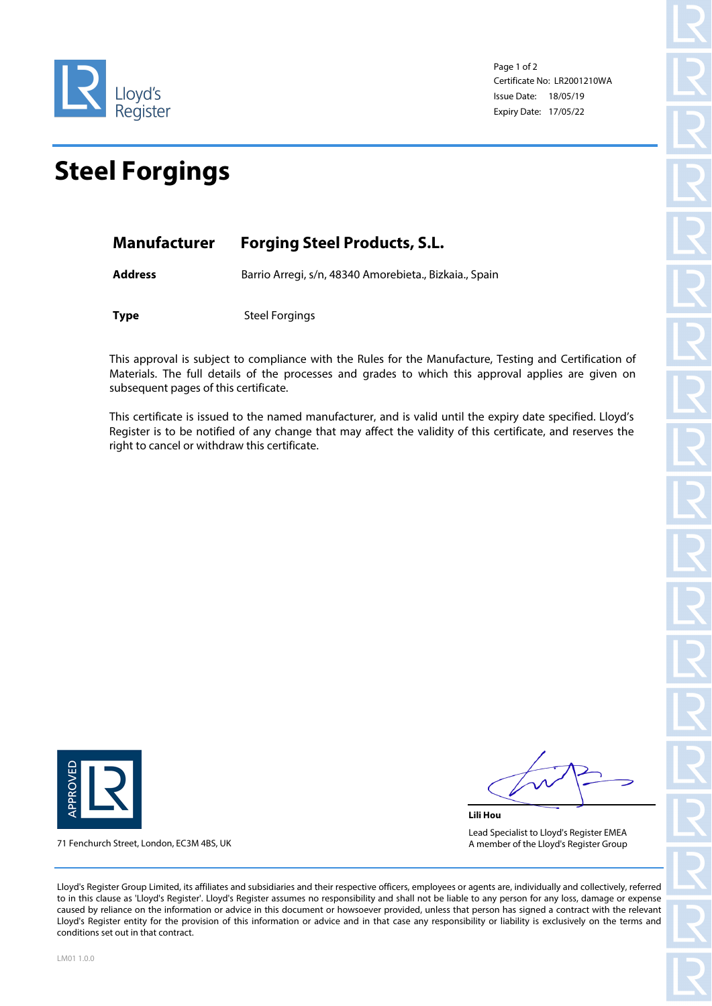

Page 1 of 2 Certificate No: LR2001210WA Issue Date: 18/05/19 Expiry Date: 17/05/22

## **Steel Forgings**

| <b>Forging Steel Products, S.L.</b><br><b>Manufacturer</b> |  |
|------------------------------------------------------------|--|
|------------------------------------------------------------|--|

**Address** Barrio Arregi, s/n, 48340 Amorebieta., Bizkaia., Spain

**Type** Steel Forgings

This approval is subject to compliance with the Rules for the Manufacture, Testing and Certification of Materials. The full details of the processes and grades to which this approval applies are given on subsequent pages of this certificate.

This certificate is issued to the named manufacturer, and is valid until the expiry date specified. Lloyd's Register is to be notified of any change that may affect the validity of this certificate, and reserves the right to cancel or withdraw this certificate.



71 Fenchurch Street, London, EC3M 4BS, UK

**Lili Hou** Lead Specialist to Lloyd's Register EMEA A member of the Lloyd's Register Group

Lloyd's Register Group Limited, its affiliates and subsidiaries and their respective officers, employees or agents are, individually and collectively, referred to in this clause as 'Lloyd's Register'. Lloyd's Register assumes no responsibility and shall not be liable to any person for any loss, damage or expense caused by reliance on the information or advice in this document or howsoever provided, unless that person has signed a contract with the relevant Lloyd's Register entity for the provision of this information or advice and in that case any responsibility or liability is exclusively on the terms and conditions set out in that contract.